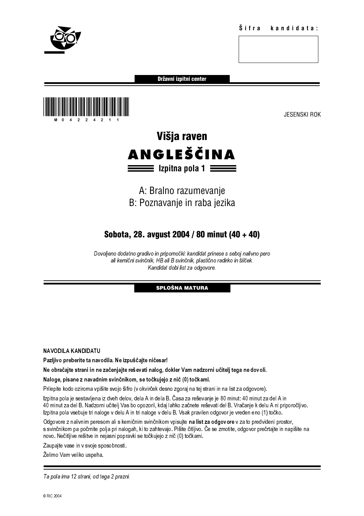

Državni izpitni center



# Višja raven **ANGLEŠČINA**  $\equiv$  Izpitna pola 1  $\equiv$

# A: Bralno razumevanje B: Poznavanje in raba jezika

# Sobota, 28. avgust 2004 / 80 minut (40 + 40)

Dovoljeno dodatno gradivo in pripomočki: kandidat prinese s seboj nalivno pero ali kemični svinčnik, HB ali B svinčnik, plastično radirko in šilček. Kandidat dobi list za odgovore.

# SPLOŠNA MATURA

NAVODILA KANDIDATU

Pazljivo preberite ta navodila. Ne izpuščajte ničesar!

Ne obračajte strani in ne začenjajte reševati nalog, dokler Vam nadzorni učitelj tega ne dovoli.

Naloge, pisane z navadnim svinčnikom, se točkujejo z nič (0) točkami.

Prilepite kodo oziroma vpišite svojo šifro (v okvirček desno zgoraj na tej strani in na list za odgovore).

over the middle in simulation is simple in the distance of the middle state in the middle state is a procedure.<br>
Sand and a control of the state of the state of the state of the state of the state of the state of the stat ali kemičnik in its izo dogovore.<br>
Kandidat dobi list za odgovore.<br>
SPLOŠNA MATURA<br>
ali B izo dogovore.<br>
SPLOŠNA MATURA<br>
enjajte reševati nalog, dokler Vam nadzorni učitelj tega ne dostrinikom, se točkujejo z nič (0) točka **SPLOŠNA MATURA**<br>
ničesar!<br>
nalog, dokler Vam nadzorni<br>
očkujejo z nič (0) točkami.<br>
irček desno zgoraj na tej strani<br>
irček desno zgoraj na tej strani<br>
in dela B. Časa za reševanje j<br>
oril, kdaj lahko začnete reševa<br>
oge Izpitna pola je sestavljena iz dveh delov, dela A in dela B. Časa za reševanje je 80 minut: 40 minut za del A in 40 minut za del B. Nadzorni učitelj Vas bo opozoril, kdaj lahko začnete reševati del B. Vračanje k delu A ni priporočljivo. Izpitna pola vsebuje tri naloge v delu A in tri naloge v delu B. Vsak pravilen odgovor je vreden eno (1) točko.

Odgovore z nalivnim peresom ali s kemičnim svinčnikom vpisujte na list za odgovore v za to predvideni prostor, s svinčnikom pa počrnite polja pri nalogah, ki to zahtevajo. Pišite čitljivo. Če se zmotite, odgovor prečrtajte in napišite na novo. Nečitljive rešitve in nejasni popravki se točkujejo z nič (0) točkami.

Zaupajte vase in v svoje sposobnosti.

Želimo Vam veliko uspeha.

Ta pola ima 12 strani, od tega 2 prazni.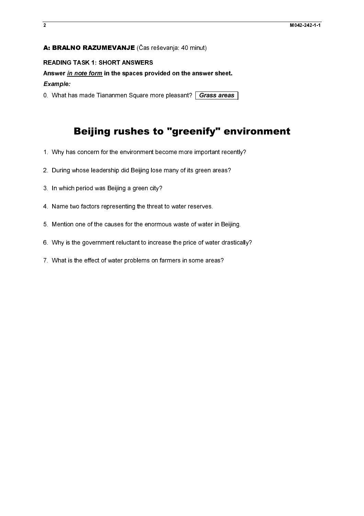# A: BRALNO RAZUMEVANJE (Čas reševanja: 40 minut)

### Example:

# **A: BRALNO RAZUMEVANJE** (Čas reševanja: 40 minut)<br>READING TASK 1: SHORT ANSWERS<br>Answer <u>in note form</u> in the spaces provided on the answer<br>*Example:*<br>O. What has made Tiananmen Square more pleasant?  $\overline{Gra}$ <br>O. What has m Faster *in note form* in the spaces pro<br>Example:<br>O. What has made Tiananmen Square m<br>O. What has made Tiananmen Square m<br>**Beijing rushes** 1<br>1. Why has concern for the environment<br>2. During whose leadership did Beijing lo<br>3 Answer in note form in the spaces provided on the answer sheet.<br>Example:<br>
O. What has made Tiananmen Square more pleasant? Carass areas<br> **Beijing rushes to "greenify" er**<br>
1. Why has concern for the environment become more **Deliging rushes to "greenify" en**<br>
1. Why has concern for the environment become more important recernse.<br>
2. During whose leadership did Beljing lose many of its green areas?<br>
3. In which period was Beljing a green city? Beijing rushes to "greenify" environment

- 
- 
- 
- トノム くうしょう こくしゃ こうしょう こうしょう こうしょう こうしょう こうしょう こうしょう こうしょう こうしょう こうしょう しょうしょう しょうしょう 4. Name two factors representing the threat<br>5. Mention one of the causes for the enorme<br>6. Why is the government reluctant to increa<br>7. What is the effect of water problems on fa
- 
- 2. During whose leadership did Beijing lose many of its green areas?<br>3. In which period was Beijing a green city?<br>4. Name two factors representing the threat to water reserves.<br>5. Mention one of the causes for the enormous 2. In which period was Beijing a green city?<br>2. Name two factors representing the threat to water reserves.<br>5. Mention one of the causes for the enormous waste of water in Beiji<br>6. Why is the government reluctant to increa 4. Name the two factors representing the threat to the transfer of water<br>5. Mention one of the causes for the encrmous waste of water<br>6. Why is the government reluctant to increase the price of wat<br>7. What is the effect of 5. Why is the government reluctant to increase the price of water drastical.<br>5. What is the effect of water problems on farmers in some areas?<br>7. What is the effect of water problems on farmers in some areas?
- Fig. 2. What is the effect of water problems on farmers in some areas?<br>7. What is the effect of water problems on farmers in some areas?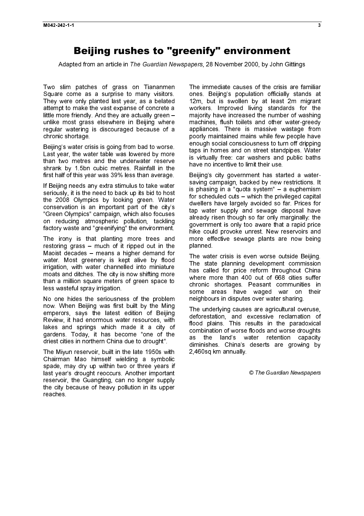bei fram an extints in The Cuerdian Neuenannes. 20 Neuenaher 2000, by Jahr Citt Adapted from an article in The Guardian Newspapers, 28 November 2000, by John Gittings

Two slim patches of grass on Tiananmen Square come as a surprise to many visitors. They were only planted last year, as a belated attempt to make the vast expanse of concrete a little more friendly. And they are actually green – unlike most grass elsewhere in Beijing where regular watering is discouraged because of a chronic shortage.

Beijing's water crisis is going from bad to worse. Last year, the water table was lowered by more than two metres and the underwater reserve shrank by 1.5bn cubic metres. Rainfall in the first half of this year was 39% less than average.

If Beijing needs any extra stimulus to take water seriously, it is the need to back up its bid to host the 2008 Olympics by looking green. Water conservation is an important part of the city's "Green Olympics" campaign, which also focuses on reducing atmospheric pollution, tackling factory waste and "greenifying" the environment.

The irony is that planting more trees and restoring grass – much of it ripped out in the Maoist decades – means a higher demand for water. Most greenery is kept alive by flood irrigation, with water channelled into miniature moats and ditches. The city is now shifting more than a million square meters of green space to less wasteful spray irrigation.

No one hides the seriousness of the problem now. When Beijing was first built by the Ming emperors, says the latest edition of Beijing Review, it had enormous water resources, with lakes and springs which made it a city of gardens. Today, it has become "one of the driest cities in northern China due to drought".

The Miyun reservoir, built in the late 1950s with Chairman Mao himself wielding a symbolic spade, may dry up within two or three years if last year's drought reoccurs. Another important reservoir, the Guangting, can no longer supply the city because of heavy pollution in its upper reaches.

The immediate causes of the crisis are familiar ones. Beijing's population officially stands at 12m, but is swollen by at least 2m migrant workers. Improved living standards for the majority have increased the number of washing machines, flush toilets and other water-greedy appliances. There is massive wastage from poorly maintained mains while few people have enough social consciousness to turn off dripping taps in homes and on street standpipes. Water is virtually free: car washers and public baths have no incentive to limit their use.

Beijing's city government has started a watersaving campaign, backed by new restrictions. It is phasing in a "quota system" – a euphemism for scheduled cuts – which the privileged capital dwellers have largely avoided so far. Prices for tap water supply and sewage disposal have already risen though so far only marginally: the government is only too aware that a rapid price hike could provoke unrest. New reservoirs and more effective sewage plants are now being planned.

The water crisis is even worse outside Beijing. The state planning development commission has called for price reform throughout China where more than 400 out of 668 cities suffer chronic shortages. Peasant communities in some areas have waged war on their neighbours in disputes over water sharing.

The underlying causes are agricultural overuse, deforestation, and excessive reclamation of flood plains. This results in the paradoxical combination of worse floods and worse droughts as the land's water retention capacity diminishes. China's deserts are growing by 2,460sq km annually.

© The Guardian Newspapers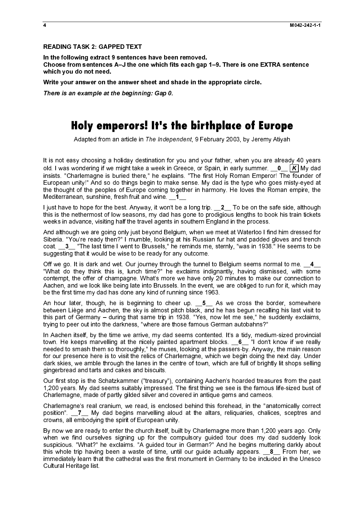### READING TASK 2: GAPPED TEXT

In the following extract 9 sentences have been removed. Choose from sentences A–J the one which fits each gap 1–9. There is one EXTRA sentence which you do not need.

Write your answer on the answer sheet and shade in the appropriate circle.

There is an example at the beginning: Gap 0.

# **Holy emperors! It's the birthplace of Europe**

Adapted from an article in The Independent, 9 February 2003, by Jeremy Atiyah

There is an example at the beginning: Gap 0.<br>
Moly emperors! If's f<br>
Adapted from an article in The Indepentent<br>
It is not easy choosing a holiday destination for<br>
lotid. I was wondering if we might take a week in<br>
mississ It is not easy choosing a holiday destination for you and your father, when you are already 40 years insists. "Charlemagne is buried there," he explains. "The first Holy Roman Emperor! The founder of European unity!" And so do things begin to make sense. My dad is the type who goes misty-eyed at the thought of the peoples of Europe coming together in harmony. He loves the Roman empire, the Mediterranean, sunshine, fresh fruit and wine. 1\_1\_

I just have to hope for the best. Anyway, it won't be a long trip.  $2$  To be on the safe side, although this is the nethermost of low seasons, my dad has gone to prodigious lengths to book his train tickets weeks in advance, visiting half the travel agents in southern England in the process.

And although we are going only just beyond Belgium, when we meet at Waterloo I find him dressed for Siberia. "You're ready then?" I mumble, looking at his Russian fur hat and padded gloves and trench coat. \_\_3\_ "The last time I went to Brussels," he reminds me, sternly, "was in 1938." He seems to be suggesting that it would be wise to be ready for any outcome.

Off we go. It is dark and wet. Our journey through the tunnel to Belgium seems normal to me.  $\_4$ "What do they think this is, lunch time?" he exclaims indignantly, having dismissed, with some contempt, the offer of champagne. What's more we have only 20 minutes to make our connection to Aachen, and we look like being late into Brussels. In the event, we are obliged to run for it, which may be the first time my dad has done any kind of running since 1963.

An hour later, though, he is beginning to cheer up. \_5\_ As we cross the border, somewhere between Liège and Aachen, the sky is almost pitch black, and he has begun recalling his last visit to this part of Germany – during that same trip in 1938. "Yes, now let me see," he suddenly exclaims, trying to peer out into the darkness, "where are those famous German autobahns?"

In Aachen itself, by the time we arrive, my dad seems contented. It's a tidy, medium-sized provincial town. He keeps marvelling at the nicely painted apartment blocks. \_6\_ "I don't know if we really needed to smash them so thoroughly," he muses, looking at the passers-by. Anyway, the main reason for our presence here is to visit the relics of Charlemagne, which we begin doing the next day. Under dark skies, we amble through the lanes in the centre of town, which are full of brightly lit shops selling gingerbread and tarts and cakes and biscuits.

Our first stop is the Schatzkammer ("treasury"), containing Aachen's hoarded treasures from the past 1,200 years. My dad seems suitably impressed. The first thing we see is the famous life-sized bust of Charlemagne, made of partly gilded silver and covered in antique gems and cameos.

Charlemagne's real cranium, we read, is enclosed behind this forehead, in the "anatomically correct position". 17 My dad begins marvelling aloud at the altars, reliquaries, chalices, sceptres and crowns, all embodying the spirit of European unity.

old. Was wondering the original take a week in Greece, or Spain, in early summer. \_0\_\_ K My discloses that the conservations in the system is the property Act as to brought the might take a week in the system in the system By now we are ready to enter the church itself, built by Charlemagne more than 1,200 years ago. Only when we find ourselves signing up for the compulsory guided tour does my dad suddenly look suspicious. "What?" he exclaims. "A guided tour in German?" And he begins muttering darkly about this whole trip having been a waste of time, until our guide actually appears.  $\bullet$  From her, we immediately learn that the cathedral was the first monument in Germany to be included in the Unesco Cultural Heritage list.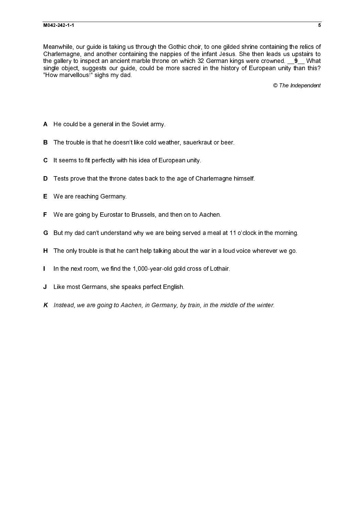Meanwhile, our guide is taking us through the Gothic choir, to one gilded shrine containing the relics of Charlemagne, and another containing the nappies of the infant Jesus. She then leads us upstairs to the gallery to inspect an ancient marble throne on which 32 German kings were crowned. **9** What the gallery to impect an ancient marble throne on which 32 German kings were crowned. \_\_9\_ What is an pubs were crowned. \_\_9\_ What is an angle object anglogets our guide, could be more adeal in the history of European unit single object, suggests our guide, could be more sacred in the history of European unity than this? "How marvellous!" sighs my dad.

© The Independent

- 
- 
- 
- B The trouble is that he doesn't like cold weather, sauerkraut or beer.<br>C It seems to fit perfectly with his idea of European unity.<br>D Tests prove that the throne dates back to the age of Charlemagne h<br>E We are reaching Ge C It seems to fit perfectly with his idea of European unity.<br>D Tests prove that the throne dates back to the age of Ch<br>E We are reaching Germany.<br>F We are going by Eurostar to Brussels, and then on to A<br>G But my dad can't
- 
- 
- D Tests prove that the throne dates back to the age of Charlemagne himself.<br>E We are reaching Germany.<br>F We are going by Eurostar to Brussels, and then on to Aachen.<br>G But my dad can't understand why we are being served a F We are going by Eurostar to Brussels, and then on to Aachen.<br>G But my dad can't understand why we are being served a meal.<br>H The only trouble is that he can't help talking about the war in a<br>1 In the next room, we find t
- G But my dad can't understand why we are being served a meal at 11 o'clock in the morning.<br>H The only trouble is that he can't help talking about the war in a loud voice wherever we go.<br>I In the next room, we find the 1,00
- 
- A He could be a general in the Soviet army.<br>
B The trouble is that he doesn't like cold wes<br>
C It seems to fit perfectly with his idea of Eur<br>
D Tests prove that the throne dates back to I<br>
E We are reaching Germany.<br>
F We E We are reaching Germany.<br>
F We are going by Eurostar to<br>
G But my dad can't understand<br>
H The only trouble is that he c<br>
I In the next room, we find the<br>
J Like most Germans, she spone K Instead, we are going to Aad
- Here only trouble is that he can't help talking about the war in a loud voice wherever we go.<br>The the next room, we find the 1,000-year-old gold cross of Lothair.<br>J. Like most Germans, she speaks perfect English.<br>K. Instea I In the next room, we find the 1,000-year-old gold cross of Lothair.<br>J Like most Germans, she speaks perfect English.<br>K Instead, we are going to Aachen, in Germany, by train, in the midd<br>K Instead, we are going to Aachen,  $J$  Like most Germans, she speaks perfect English.<br> $K$  Instead, we are going to Aachen, in Germany, by K Instead, we are going to Aachen, in Germany, by train, in the middle of the winter.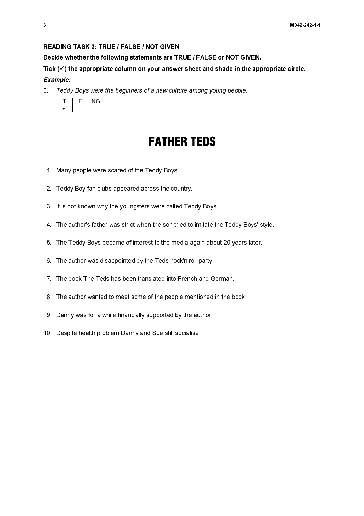### READING TASK 3: TRUE / FALSE / NOT GIVEN

Decide whether the following statements are TRUE / FALSE or NOT GIVEN.

Tick  $(\checkmark)$  the appropriate column on your answer sheet and shade in the appropriate circle.

# *Example:*

Teddy Boys were the beginners of a new culture among young people.  $\overline{0}$ 

# FATHER TEDS

- 1. Many people were scared of the Teddy Boys.
- 2. Teddy Boy fan clubs appeared across the country.
- 3. It is not known why the youngsters were called Teddy Boys.
- **EXECUSE INTERTIEDS**<br>
1. Many people were scared of the Teddy Boys.<br>
2. Teddy Boy fan olubs appeared across the country.<br>
3. It is not known wity the youngsters were called Teddy Boys.<br>
4. The author's father was stirct wh 3. The author's father was strict when the son tried to imitate th<br>3. The Teddy Boys became of interest to the media again abou<br>3. The author was disappointed by the Teds' rock'n'roll party.<br>7. The book The Teds has been t 4. The author's father was strict when the son tried to imitate the Teddy Boys' style.
- 4. The author's father was strict when the son tried to imitate the Teddy Boys' style.<br>5. The Teddy Boys became of interest to the media again about 20 years later.<br>6. The author was disappointed by the Teds' rock'n'roll p 5. The Teddy Boys became of interest to the media again about 20 years later.
- 6. The author was disappointed by the Teds' rock'n'roll party.
- 7. The book The Teds has been translated into French and German.
- 5. The author was disappointed by the Teds' rock'n'roll party.<br>
7. The book The Teds has been translated into French and German.<br>
8. The author wanted to meet some of the people mentioned in the book.<br>
9. Danny was for a w 7. The author wanted to meet some of the people mentioned in the been translated in the been translated by supported by the author.<br>The Teaspite health problem Danny and Sue still socialise. 8. The author wanted to meet some of the people mentioned in the book.
- any people were<br>ddy Boy fan clul<br>s not known wh<sub>!</sub><br>le author's fathe<br>le Teddy Boys b<br>le author was dis<br>le book The Ted<br>any was for a w<br>sspite health pro 2. Teddy Boy fan clubs appeared across the course of the control of the New York of the New York of the New York of the New York of the Teddy Boys became of interest to the meets. The Teddy Boys became of interest to the m 2. The solution of the system of the countries are called Ted<br>3. It is not known why the youngsters were called Ted<br>4. The author's father was strict when the son tried to<br>5. The author was disappointed by the Teds' rock'n 6. The author was disappointed by the Teds' rock'n'roll party.<br>7. The book The Teds has been translated into French and G<br>8. The author wanted to meet some of the people mentioned<br>9. Danny was for a while financially suppo 8. Danny was for a while financially supported by the author.<br>10. Despite health problem Danny and Sue still socialise. 9. Danny was for a while financially supported by the author.
- 9. Danny was for a while financially supported by the author.<br>10. Despite health problem Danny and Sue still socialise. 10. Despite health problem Danny and Sue still socialise. 10. Despite health problem Danny and Sue still socialise.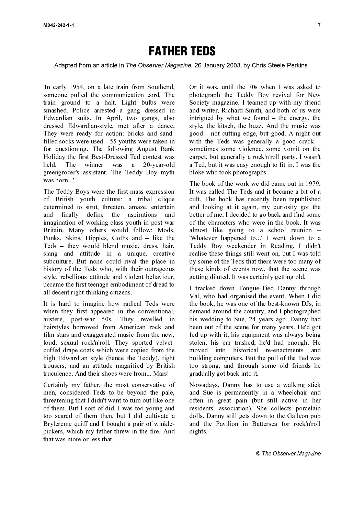# FATHER TEDS

'In early 1954, on a late train from Southend, someone pulled the communication cord. The train ground to a halt. Light bulbs were smashed. Police arrested a gang dressed in Edwardian suits. In April, two gangs, also dressed Edwardian-style, met after a dance. They were ready for action: bricks and sandfilled socks were used – 55 youths were taken in for questioning. The following August Bank Holiday the first Best-Dressed Ted contest was held. The winner was a 20-year-old greengrocer's assistant. The Teddy Boy myth was born...'

Early 1954, on a late train from Southout, Or it was until the 70s when I was also<br>conceptly the commutation cost. The absorption Leely Boy reversal for the<br>shock commutation cost. In a proposed in a mod writter Redact St - "st sh chiffhh wh h c c wilh h i sh wh h h chiffh chit C rt c th h kt - st sh cliffhh w r c c ailhe s sh sh a l r ahfl ch t t C r t c t l Ft The Teddy Boys were the first mass expression of British youth culture: a tribal clique determined to strut, threaten, amaze, entertain and finally define the aspirations and imagination of working-class youth in post-war Britain. Many others would follow: Mods, Punks, Skins, Hippies, Goths and – like the Teds – they would blend music, dress, hair, slang and attitude in a unique, creative subculture. But none could rival the place in history of the Teds who, with their outrageous style, rebellious attitude and violent behaviour, became the first teenage embodiment of dread to all decent right-thinking citizens.

It is hard to imagine how radical Teds were when they first appeared in the conventional, austere, post-war 50s. They revelled in hairstyles borrowed from American rock and film stars and exaggerated music from the new, loud, sexual rock'n'roll. They sported velvetcuffed drape coats which were copied from the high Edwardian style (hence the Teddy), tight trousers, and an attitude magnified by British truculence. And their shoes were from... Mars!

Certainly my father, the most conservative of men, considered Teds to be beyond the pale, threatening that I didn't want to turn out like one of them. But I sort of did. I was too young and too scared of them then, but I did cultivate a Brylcreme quiff and I bought a pair of winklepickers, which my father threw in the fire. And that was more or less that.

Or it was, until the 70s when I was asked to photograph the Teddy Boy revival for New Society magazine. I teamed up with my friend and writer, Richard Smith, and both of us were intrigued by what we found – the energy, the style, the kitsch, the buzz. And the music was good – not cutting edge, but good. A night out with the Teds was generally a good crack – sometimes some violence, some vomit on the carpet, but generally a rock'n'roll party. I wasn't a Ted, but it was easy enough to fit in. I was the bloke who took photographs.

The book of the work we did came out in 1979. It was called The Teds and it became a bit of a cult. The book has recently been republished and looking at it again, my curiosity got the better of me. I decided to go back and find some of the characters who were in the book. It was almost like going to a school reunion – 'Whatever happened to...' I went down to a Teddy Boy weekender in Reading. I didn't realise these things still went on, but I was told by some of the Teds that there were too many of these kinds of events now, that the scene was getting diluted. It was certainly getting old.

I tracked down Tongue-Tied Danny through Val, who had organised the event. When I did the book, he was one of the best-known DJs, in demand around the country, and I photographed his wedding to Sue, 24 years ago. Danny had been out of the scene for many years. He'd got fed up with it, his equipment was always being stolen, his car trashed, he'd had enough. He moved into historical re-enactments and building computers. But the pull of the Ted was too strong, and through some old friends he gradually got back into it.

Nowadays, Danny has to use a walking stick and Sue is permanently in a wheelchair and often in great pain (but still active in her residents' association). She collects porcelain dolls. Danny still gets down to the Galleon pub and the Pavilion in Battersea for rock'n'roll nights.

© The Observer Magazine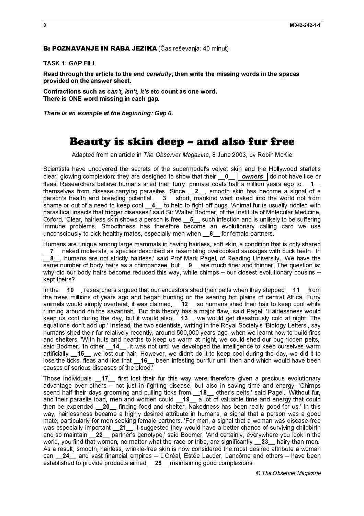### TASK 1: GAP FILL

provided on the answer sheet.

There is ONE word missing in each gap.

# Beauty is skin deep – and also fur free

Scientists have uncovered the secrets of the supermodel's velvet skin and the Hollywood starlet's clear, glowing complexion: they are designed to show that their  $\frac{0}{\sqrt{2}}$  owners do not have lice or fleas. Researchers believe humans shed their furry, primate coats half a million years ago to  $\_1$ themselves from disease-carrying parasites. Since  $\_2$ , smooth skin has become a signal of a person's health and breeding potential. \_\_3\_\_ short, mankind went naked into the world not from shame or out of a need to keep cool  $\overline{4}$  to help to fight off bugs. 'Animal fur is usually riddled with parasitical insects that trigger diseases,' said Sir Walter Bodmer, of the Institute of Molecular Medicine, Oxford. 'Clear, hairless skin shows a person is free  $\overline{5}$  such infection and is unlikely to be suffering immune problems. Smoothness has therefore become an evolutionary calling card we use unconsciously to pick healthy mates, especially men when \_\_6\_\_ for female partners.'

Humans are unique among large mammals in having hairless, soft skin, a condition that is only shared \_\_7\_\_ naked mole-rats, a species described as resembling overcooked sausages with buck teeth. 'In  $\overline{\phantom{a}}$  , humans are not strictly hairless,' said Prof Mark Pagel, of Reading University. 'We have the  $\overline{a}$  same number of body hairs as a chimpanzee, but  $\overline{a}$  9 are much finer and thinner. The question is: why did our body hairs become reduced this way, while chimps – our closest evolutionary cousins – kept theirs?

**B: POZNAVANJE IN RABA JEZIKA** (Čas reševanja: 40 minut)<br>TASK 1: GAP FILL<br>
Read through the anticle to the end *cardfully*, then write the miss<br>
Read through the anticle to the end *cardfully*, then write the miss<br>
provide In the  $\overline{10}$  researchers argued that our ancestors shed their pelts when they stepped  $\overline{11}$  from the trees millions of years ago and began hunting on the searing hot plains of central Africa. Furry animals would simply overheat, it was claimed, 12\_ so humans shed their hair to keep cool while running around on the savannah. 'But this theory has a major flaw,' said Pagel. 'Hairlessness would keep us cool during the day, but it would also \_13\_ we would get disastrously cold at night. The equations don't add up.' Instead, the two scientists, writing in the Royal Society's 'Biology Letters', say humans shed their fur relatively recently, around 500,000 years ago, when we learnt how to build fires and shelters. 'With huts and hearths to keep us warm at night, we could shed our bug-ridden pelts,' said Bodmer. 'In other \_\_**14**\_\_, it was not until we developed the intelligence to keep ourselves warm artificially \_\_**15**\_\_ we lost our hair. However, we didn't do it to keep cool during the day, we did it to lose the ticks, fleas and lice that  $\_\!\_16\_\!\_$  been infesting our fur until then and which would have been causes of serious diseases of the blood.'

Read through the article to the end carefully, then write the missing words in the spaces<br>provided on the article to the end carefully, then write the missing words in the space<br>contractions are the fact, then it is ensem Contractions such as can't, it is etc count as one word.<br>Contractions such as can't, it's etc count as one word.<br>There is one wample at the beginning: Gap 0.<br>
There is an example at the beginning: Gap 0.<br>
Security is skinn There is an example at the beginning: Gap 0.<br> **Beautty is skin dec**<br>
Adapted from an article in The Observ<br>
Scientists have uncovered the secrets of the search selles. Researchers believe humans shed their there is search Adapted from an article in The Observer Magazine, 8 June 2003, by Robin McKe<br>have uncovered the secrets of the supermodel's velocit also reduced the Hollywood from the secrets between the terms of the and the Hollywood fr clear, glowing complexion: they are designed to show that their  $-0$ \_ <u>owners</u> is once that the state or signified to show the state or signified to show the state or signified to show the state or signified to show the s Those individuals \_\_17\_\_ first lost their fur this way were therefore given a precious evolutionary advantage over others – not just in fighting disease, but also in saving time and energy. 'Chimps spend half their days grooming and pulling ticks from \_\_**18**\_\_ other's pelts,' said Pagel. 'Without fur, and their parasite load, men and women could  $\_$ 19 $\_$  a lot of valuable time and energy that could then be expended \_\_20\_\_ finding food and shelter. Nakedness has been really good for us.' In this way, hairlessness became a highly desired attribute in humans, a signal that a person was a good mate, particularly for men seeking female partners. 'For men, a signal that a woman was disease-free was especially important \_\_21\_\_ it suggested they would have a better chance of surviving childbirth and so maintain \_\_22\_\_ partner's genotype,' said Bodmer. 'And certainly, everywhere you look in the world, you find that women, no matter what the race or tribe, are significantly 23 hairy than men.' As a result, smooth, hairless, wrinkle-free skin is now considered the most desired attribute a woman can **24** and vast financial empires – L'Oréal, Estée Lauder, Lancôme and others – have been established to provide products aimed 25 maintaining good complexions.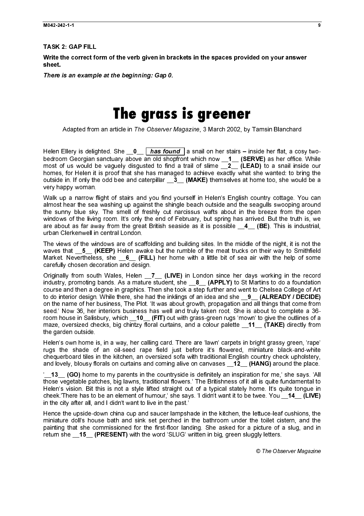TASK 2: GAP FILL

Write the correct form of the verb given in brackets in the spaces provided on your answer sheet.

There is an example at the beginning: Gap 0.

# **The grass is greener**

Adapted from an article in The Observer Magazine, 3 March 2002, by Tamsin Blanchard

bedroom Georgian sanctuary above an old shopfront which now \_\_**1\_\_ (SERVE)** as her office. While most of us would be vaguely disgusted to find a trail of slime \_\_**2\_\_ (LEAD)** to a snail inside our homes, for Helen it is proof that she has managed to achieve exactly what she wanted: to bring the outside in. If only the odd bee and caterpillar  $\overline{3}$  (MAKE) themselves at home too, she would be a very happy woman.

Walk up a narrow flight of stairs and you find yourself in Helen's English country cottage. You can almost hear the sea washing up against the shingle beach outside and the seagulls swooping around the sunny blue sky. The smell of freshly cut narcissus wafts about in the breeze from the open windows of the living room. It's only the end of February, but spring has arrived. But the truth is, we are about as far away from the great British seaside as it is possible  $\overline{4}$  (BE). This is industrial, urban Clerkenwell in central London.

The views of the windows are of scaffolding and building sites. In the middle of the night, it is not the waves that \_5\_ (KEEP) Helen awake but the rumble of the meat trucks on their way to Smithfield Market. Nevertheless, she \_6\_ (FILL) her home with a little bit of sea air with the help of some carefully chosen decoration and design.

There is an example at the beginning: Gap 0.<br>
There is an example at the beginning: Gap 0.<br>
Mapted from an article in The Observer Helen Ellery is delighted. She  $p_0$   $p_0$   $p_0$  and shop most of us would be vaguely disg Adapted from an article in The Observer Magazine, 3 March 2002, by Tamsin Blanchard<br>Elery is delighted. She of  $\underline{b}$   $\underline{b}$   $\underline{b}$  and on the rstains - inside her fits a correction<br>of noteing the system webserver M Helen Ellery is orderived in the discording of the statistic scale with the life is dependent of the statistic scale with the statistic scale with the statistic scale in the statistic scale in the statistic scale is the s Originally from south Wales, Helen \_7\_ (LIVE) in London since her days working in the record industry, promoting bands. As a mature student, she \_\_8\_ (APPLY) to St Martins to do a foundation course and then a degree in graphics. Then she took a step further and went to Chelsea College of Art to do interior design. While there, she had the inklings of an idea and she **\_\_9\_\_ (ALREADY / DECIDE)** on the name of her business, The Plot. 'It was about growth, propagation and all things that come from seed.' Now 36, her interiors business has well and truly taken root. She is about to complete a 36 room house in Salisbury, which \_\_10\_\_ (FIT) out with grass-green rugs 'mown' to give the outlines of a maze, oversized checks, big chintzy floral curtains, and a colour palette **11** (TAKE) directly from the garden outside.

Helen's own home is, in a way, her calling card. There are 'lawn' carpets in bright grassy green, 'rape' rugs the shade of an oil-seed rape field just before it's flowered, miniature black-and-white chequerboard tiles in the kitchen, an oversized sofa with traditional English country check upholstery, and lovely, blousy florals on curtains and coming alive on canvases 12 (HANG) around the place.

<sup>'</sup> 13 (GO) home to my parents in the countryside is definitely an inspiration for me,' she says. 'All those vegetable patches, big lawns, traditional flowers.' The Britishness of it all is quite fundamental to Helen's vision. Bit this is not a style lifted straight out of a typical stately home. It's quite tongue in cheek.'There has to be an element of humour,' she says. 'I didn't want it to be twee. You \_\_14\_ (LIVE) in the city after all, and I didn't want to live in the past.'

Hence the upside-down china cup and saucer lampshade in the kitchen, the lettuce-leaf cushions, the miniature doll's house bath and sink set perched in the bathroom under the toilet cistern, and the painting that she commissioned for the first-floor landing. She asked for a picture of a slug, and in return she \_15\_ (PRESENT) with the word 'SLUG' written in big, green sluggly letters.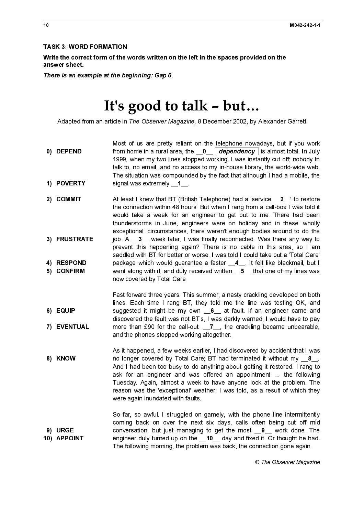# It's good to talk – but…

- Most of us are pretty reliant on the telephone nowadays, but if you work 1999, when my two lines stopped working, I was instantly cut off; nobody to talk to, no email, and no access to my in-house library, the world-wide web. The situation was compounded by the fact that although I had a mobile, the
- Write the correct form of the values<br>
answer sheet.<br>
There is an example at the be<br>
<br>
Adapted from an article in<br>
0) DEPEND<br>
1999, talk to<br>
The signal<br>
1) POVERTY<br>
2) COMMIT<br>
At least the computer<br>
2) COMMIT<br>
At least the answer sheet.<br>
There is an example at the beginning: Gap 0.<br>
It's good to tall  $k - but...$ <br>
Adapted from an article in The Observer Magazine. 8 December 2002, by Alexander<br>
10) DEPENID<br>
Nors for us are pretty related on the te There is an examples<br>There is an examples<br>Adapted fr<br>0) DEPEND<br>1) POVERTY<br>2) COMMIT<br>5) CONFIRM<br>5) CONFIRM<br>7) EVENTUA<br>8) KNOW<br>8) KNOW<br>10) APPOINT There is an example at the best of the server state of the server of Adapted from an article in *The Observer Ms*<br>
1999, when my two line<br>
1999, when my two line<br>
1999, when my two line<br>
1999, when my two line<br>
11) POVERTY Adapted from an article in The Observer Magazine, 8 December 2002, by Alexander Garrett<br>
Most divis are presh, relation the Selections moving in the Young Magazine of the Selections in the Valentia of the Selections in th 1) POVERT)<br>2) COMMIT<br>3) FRUSTRA<br>4) RESPONI<br>5) CONFIRM<br>6) EQUIP<br>7) EVENTUA<br>8) KNOW<br>10) APPOINT 2) COMMIT<br>3) FRUSTRA<br>4) RESPOND<br>5) CONFIRM<br>6) EQUIP<br>7) EVENTUAL<br>8) KNOW<br>10) APPOINT 3) FRUSTRJ<br>4) RESPON<br>5) CONFIRM<br>6) EQUIP<br>7) EVENTUJ<br>8) KNOW<br>10) APPOINT from home in a rural area, the  $-\Delta = \frac{1}{2}$  (dependency  $\frac{1}{2}$  is almost total. In July<br>1999, when my two lines stopped working, I was instantly cut off, motorly to<br>1999, when my two lines stopped working, I was instan signal was extremely \_1\_...<br>At least I knew that BT (Britit<br>the connection within 48 hou<br>would take a week for an<br>would take a week for an<br>thunderstoms in June, eng<br>exceptional' circumstances, i<br>job. A \_3\_ week later, I w<br> At least like we that BT (British Telephone) had a 'service \_\_<sup>2</sup>\_' to restore the phone that BT (British Telephone) that is 'service \_\_<sup>2</sup>\_' to restort that BT and the would take a week for an engineer to get out to ne. the connection within 48 hours. But when I rang from a call-box I was told it would take a week for an engineer to get out to me. There had been thunderstorms in June, engineers were on holiday and in these 'wholly exceptional' circumstances, there weren't enough bodies around to do the prevent this happening again? There is no cable in this area, so I am saddled with BT for better or worse. I was told I could take out a 'Total Care' now covered by Total Care.
- Fast forward three years. This summer, a nasty crackling developed on both lines. Each time I rang BT, they told me the line was testing OK, and discovered the fault was not BT's, I was darkly warned, I would have to pay and the phones stopped working altogether.
- 4) RESPOND<br>5) CONFIRM<br>6) EQUIP<br>7) EVENTUAL<br>8) KNOW<br>9) URGE<br>10) APPOINT 5) CONFIRM<br>6) EQUIP<br>7) EVENTUAL<br>8) KNOW<br>9) URGE<br>10) APPOINT 6) EQUIP<br>7) EVENTUAI<br>8) KNOW<br>9) URGE<br>10) APPOINT 7) EVENT<br>8) KNOW<br>9) URGE<br>10) APPOII 7) ETERTAL<br>8) KNOW<br>9) URGE<br>10) APPOINT 9) URGE<br>10) APPOIM<br>10) APPOIM job. A \_3\_ week later, I was finally reconnected. Was there any way to be<br>prevent this happening again? There is no cable in this area, so I am<br>saddled with BT for better or worse. I was told I could take out a 'Total Car package which would guarantee a faster  $\underline{4}$ ... It felt like blackmail, but I<br>went along with it, and duly received written  $\underline{5}$  that one of my lines was<br>now covered by Total Care.<br>Fast forward three years. This su went along with it, and duly received written  $\_5$  that one of my lines was<br>now covered by Total Care.<br>Fast forward three years. This summer, a nasty crackling developed on both<br>lines. Each time I rang BT, they told me th suggested it might be my own  $\_6$  at fault. If an engineer came and<br>discovered the fault was not BT's, I was darkly warned, I would have to pay<br>more than 90 for the call-out.  $\_$  is the crackling became unbearable,<br>and more than £90 for the call-out.  $\underline{T}$ , the crackling became unbearable,<br>and the phones stopped working altogether.<br>As it happened, a few weeks earlier, I had discovered by accident that I was<br>no longer covered by Total-As it happened, a few weeks earlier, I had discovered by accident that I was no longer covered by Total-Care; BT had terminated it without my  $\_8$ —And I had been too busy to do anything about getting it restored. I rang to ass for an engineer and was offered an appointment ... the following Tuesd And I had been too busy to do anything about getting it restored. I rang to ask for an engineer and was offered an appointment … the following Tuesday. Again, almost a week to have anyone look at the problem. The reason was the 'exceptional' weather, I was told, as a result of which they were again inundated with faults.

 $\begin{array}{c}\n1 \\
1\n\end{array}$   $\overline{1}$  $\begin{array}{c}\n1 \\
1\n\end{array}$   $\begin{array}{c}\n\mathbf{1} \\
\mathbf{1}\n\end{array}$   $\overline{1}$  $\begin{array}{c}\n1 \\
1\n\end{array}$   $\begin{array}{c}\n\text{1} \\
\text{2} \\
\text{3} \\
\text{4}\n\end{array}$  $\begin{array}{c}\n1 \\
2\n\end{array}$  $\overline{1}$   $\begin{array}{c}\n1 \\
1\n\end{array}$   $\begin{bmatrix} 1 \\ 1 \end{bmatrix}$  $\frac{1}{2}$  $\begin{bmatrix} 1 \\ 1 \end{bmatrix}$  $\begin{bmatrix} 1 \\ 1 \end{bmatrix}$  $\frac{1}{2}$  $\overline{1}$  $\ddot{\phantom{a}}$  $\overline{10)}$  APPOI 10) APPOINT So far, so awful. I struggled on gamely, with the phone line intermittently coming back on over the next six days, calls often being cut off mid conversation, but just managing to get the most  $\frac{9}{-}$  work done. The engineer duly turned up on the  $\frac{10}{-}$  day and fixed it. Or thought he had.<br>The following morning, the problem was back, the connection gone agai engineer duly turned up on the  $\_\_10\_\_$  day and fixed it. Or thought he had.<br>The following morning, the problem was back, the connection gone again.<br> $\circledR$  The Observer Magazine The following morning, the problem was back, the connection gone again.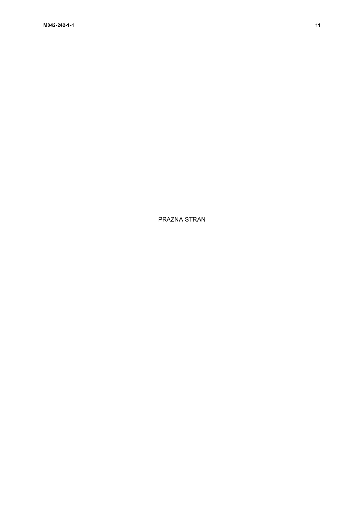PRAZNA STRAN